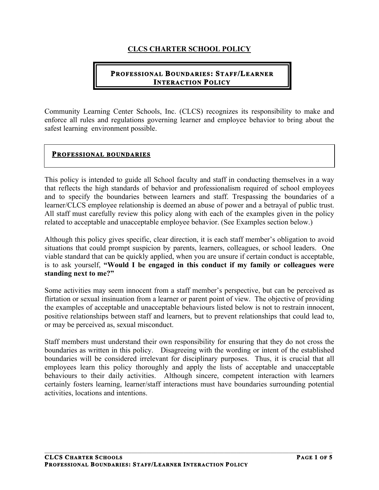## **CLCS CHARTER SCHOOL POLICY**

### **PROFESSIONAL BOUNDARIES: STAFF/LEARNER INTERACTION POLICY**

Community Learning Center Schools, Inc. (CLCS) recognizes its responsibility to make and enforce all rules and regulations governing learner and employee behavior to bring about the safest learning environment possible.

#### **PROFESSIONAL BOUNDARIES**

This policy is intended to guide all School faculty and staff in conducting themselves in a way that reflects the high standards of behavior and professionalism required of school employees and to specify the boundaries between learners and staff. Trespassing the boundaries of a learner/CLCS employee relationship is deemed an abuse of power and a betrayal of public trust. All staff must carefully review this policy along with each of the examples given in the policy related to acceptable and unacceptable employee behavior. (See Examples section below.)

Although this policy gives specific, clear direction, it is each staff member's obligation to avoid situations that could prompt suspicion by parents, learners, colleagues, or school leaders. One viable standard that can be quickly applied, when you are unsure if certain conduct is acceptable, is to ask yourself, **"Would I be engaged in this conduct if my family or colleagues were standing next to me?"** 

Some activities may seem innocent from a staff member's perspective, but can be perceived as flirtation or sexual insinuation from a learner or parent point of view. The objective of providing the examples of acceptable and unacceptable behaviours listed below is not to restrain innocent, positive relationships between staff and learners, but to prevent relationships that could lead to, or may be perceived as, sexual misconduct.

Staff members must understand their own responsibility for ensuring that they do not cross the boundaries as written in this policy. Disagreeing with the wording or intent of the established boundaries will be considered irrelevant for disciplinary purposes. Thus, it is crucial that all employees learn this policy thoroughly and apply the lists of acceptable and unacceptable behaviours to their daily activities. Although sincere, competent interaction with learners certainly fosters learning, learner/staff interactions must have boundaries surrounding potential activities, locations and intentions.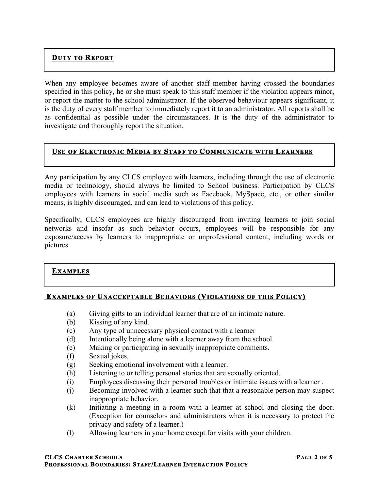# **DUTY TO REPORT**

When any employee becomes aware of another staff member having crossed the boundaries specified in this policy, he or she must speak to this staff member if the violation appears minor, or report the matter to the school administrator. If the observed behaviour appears significant, it is the duty of every staff member to immediately report it to an administrator. All reports shall be as confidential as possible under the circumstances. It is the duty of the administrator to investigate and thoroughly report the situation.

## **USE OF ELECTRONIC MEDIA BY STAFF TO COMMUNICATE WITH LEARNERS**

Any participation by any CLCS employee with learners, including through the use of electronic media or technology, should always be limited to School business. Participation by CLCS employees with learners in social media such as Facebook, MySpace, etc., or other similar means, is highly discouraged, and can lead to violations of this policy.

Specifically, CLCS employees are highly discouraged from inviting learners to join social networks and insofar as such behavior occurs, employees will be responsible for any exposure/access by learners to inappropriate or unprofessional content, including words or pictures.

#### **EXAMPLES**

#### **EXAMPLES OF UNACCEPTABLE BEHAVIORS (VIOLATIONS OF THIS POLICY)**

- (a) Giving gifts to an individual learner that are of an intimate nature.
- (b) Kissing of any kind.
- (c) Any type of unnecessary physical contact with a learner
- (d) Intentionally being alone with a learner away from the school.
- (e) Making or participating in sexually inappropriate comments.
- (f) Sexual jokes.
- (g) Seeking emotional involvement with a learner.
- (h) Listening to or telling personal stories that are sexually oriented.
- (i) Employees discussing their personal troubles or intimate issues with a learner .
- (j) Becoming involved with a learner such that that a reasonable person may suspect inappropriate behavior.
- (k) Initiating a meeting in a room with a learner at school and closing the door. (Exception for counselors and administrators when it is necessary to protect the privacy and safety of a learner.)
- (l) Allowing learners in your home except for visits with your children.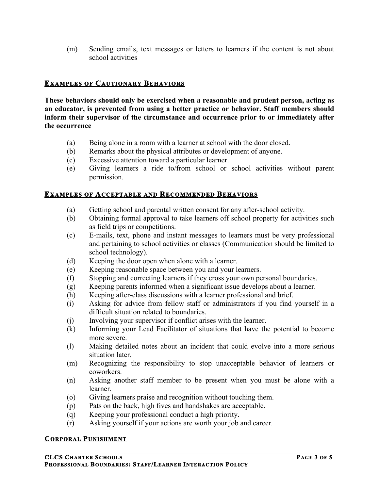(m) Sending emails, text messages or letters to learners if the content is not about school activities

### **EXAMPLES OF CAUTIONARY BEHAVIORS**

**These behaviors should only be exercised when a reasonable and prudent person, acting as an educator, is prevented from using a better practice or behavior. Staff members should inform their supervisor of the circumstance and occurrence prior to or immediately after the occurrence**

- (a) Being alone in a room with a learner at school with the door closed.
- (b) Remarks about the physical attributes or development of anyone.
- (c) Excessive attention toward a particular learner.
- (e) Giving learners a ride to/from school or school activities without parent permission.

#### **EXAMPLES OF ACCEPTABLE AND RECOMMENDED BEHAVIORS**

- (a) Getting school and parental written consent for any after-school activity.
- (b) Obtaining formal approval to take learners off school property for activities such as field trips or competitions.
- (c) E-mails, text, phone and instant messages to learners must be very professional and pertaining to school activities or classes (Communication should be limited to school technology).
- (d) Keeping the door open when alone with a learner.
- (e) Keeping reasonable space between you and your learners.
- (f) Stopping and correcting learners if they cross your own personal boundaries.
- (g) Keeping parents informed when a significant issue develops about a learner.
- (h) Keeping after-class discussions with a learner professional and brief.
- (i) Asking for advice from fellow staff or administrators if you find yourself in a difficult situation related to boundaries.
- (j) Involving your supervisor if conflict arises with the learner.
- (k) Informing your Lead Facilitator of situations that have the potential to become more severe.
- (l) Making detailed notes about an incident that could evolve into a more serious situation later.
- (m) Recognizing the responsibility to stop unacceptable behavior of learners or coworkers.
- (n) Asking another staff member to be present when you must be alone with a learner.
- (o) Giving learners praise and recognition without touching them.
- (p) Pats on the back, high fives and handshakes are acceptable.
- (q) Keeping your professional conduct a high priority.
- (r) Asking yourself if your actions are worth your job and career.

 $\mathcal{L}_\mathcal{L} = \{ \mathcal{L}_\mathcal{L} = \{ \mathcal{L}_\mathcal{L} = \{ \mathcal{L}_\mathcal{L} = \{ \mathcal{L}_\mathcal{L} = \{ \mathcal{L}_\mathcal{L} = \{ \mathcal{L}_\mathcal{L} = \{ \mathcal{L}_\mathcal{L} = \{ \mathcal{L}_\mathcal{L} = \{ \mathcal{L}_\mathcal{L} = \{ \mathcal{L}_\mathcal{L} = \{ \mathcal{L}_\mathcal{L} = \{ \mathcal{L}_\mathcal{L} = \{ \mathcal{L}_\mathcal{L} = \{ \mathcal{L}_\mathcal{$ 

#### **CORPORAL PUNISHMENT**